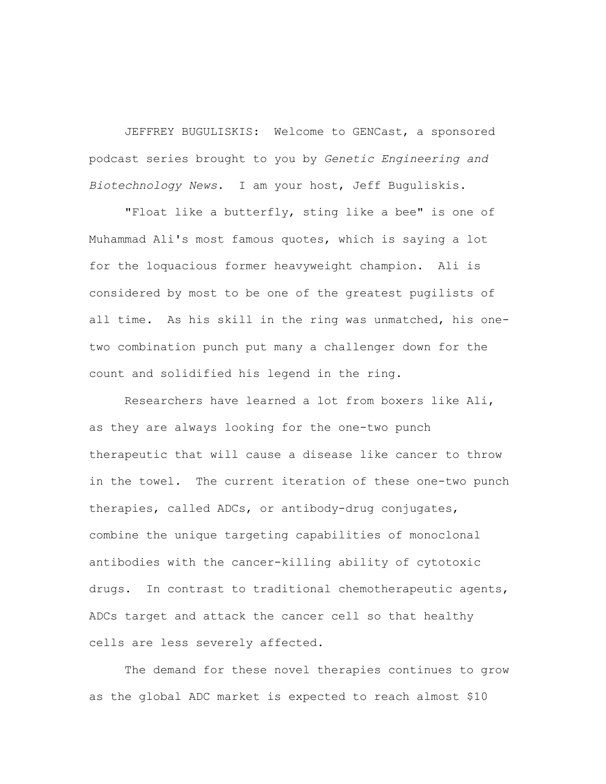JEFFREY BUGULISKIS: Welcome to GENCast, a sponsored podcast series brought to you by *Genetic Engineering and Biotechnology News*. I am your host, Jeff Buguliskis.

"Float like a butterfly, sting like a bee" is one of Muhammad Ali's most famous quotes, which is saying a lot for the loquacious former heavyweight champion. Ali is considered by most to be one of the greatest pugilists of all time. As his skill in the ring was unmatched, his onetwo combination punch put many a challenger down for the count and solidified his legend in the ring.

Researchers have learned a lot from boxers like Ali, as they are always looking for the one-two punch therapeutic that will cause a disease like cancer to throw in the towel. The current iteration of these one-two punch therapies, called ADCs, or antibody-drug conjugates, combine the unique targeting capabilities of monoclonal antibodies with the cancer-killing ability of cytotoxic drugs. In contrast to traditional chemotherapeutic agents, ADCs target and attack the cancer cell so that healthy cells are less severely affected.

The demand for these novel therapies continues to grow as the global ADC market is expected to reach almost \$10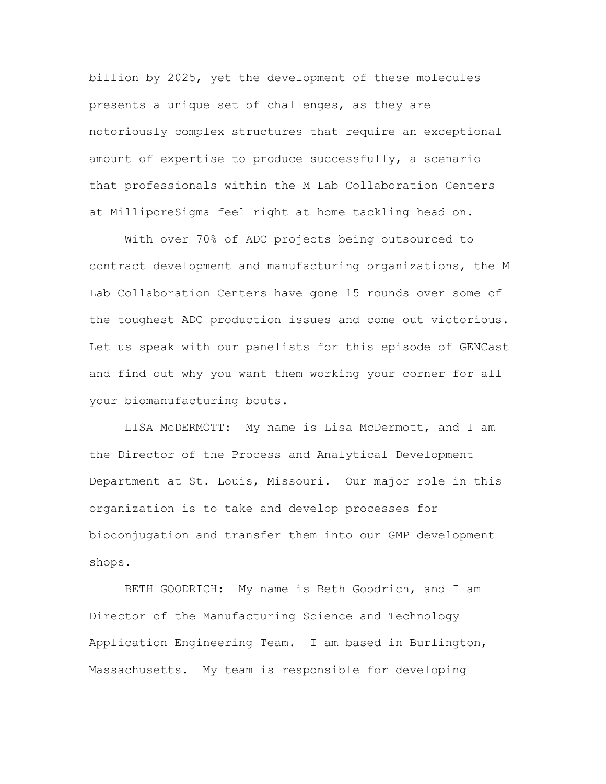billion by 2025, yet the development of these molecules presents a unique set of challenges, as they are notoriously complex structures that require an exceptional amount of expertise to produce successfully, a scenario that professionals within the M Lab Collaboration Centers at MilliporeSigma feel right at home tackling head on.

With over 70% of ADC projects being outsourced to contract development and manufacturing organizations, the M Lab Collaboration Centers have gone 15 rounds over some of the toughest ADC production issues and come out victorious. Let us speak with our panelists for this episode of GENCast and find out why you want them working your corner for all your biomanufacturing bouts.

LISA McDERMOTT: My name is Lisa McDermott, and I am the Director of the Process and Analytical Development Department at St. Louis, Missouri. Our major role in this organization is to take and develop processes for bioconjugation and transfer them into our GMP development shops.

BETH GOODRICH: My name is Beth Goodrich, and I am Director of the Manufacturing Science and Technology Application Engineering Team. I am based in Burlington, Massachusetts. My team is responsible for developing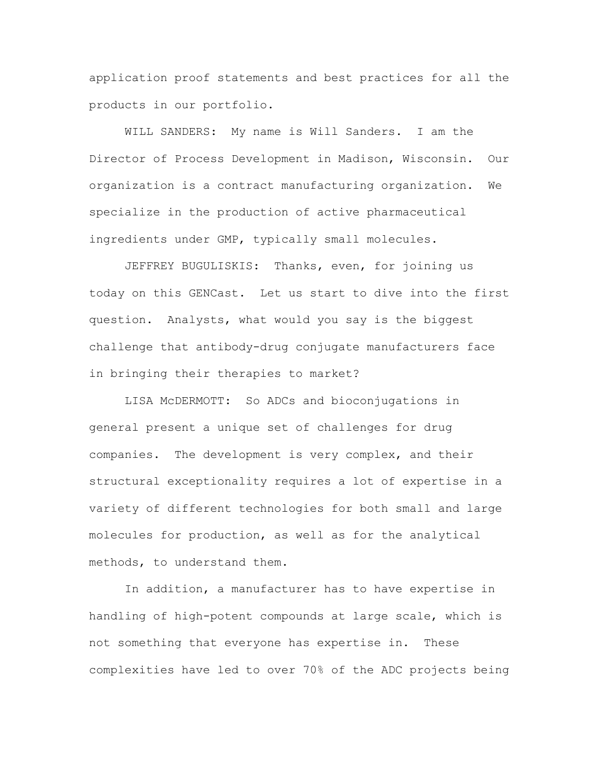application proof statements and best practices for all the products in our portfolio.

WILL SANDERS: My name is Will Sanders. I am the Director of Process Development in Madison, Wisconsin. Our organization is a contract manufacturing organization. We specialize in the production of active pharmaceutical ingredients under GMP, typically small molecules.

JEFFREY BUGULISKIS: Thanks, even, for joining us today on this GENCast. Let us start to dive into the first question. Analysts, what would you say is the biggest challenge that antibody-drug conjugate manufacturers face in bringing their therapies to market?

LISA McDERMOTT: So ADCs and bioconjugations in general present a unique set of challenges for drug companies. The development is very complex, and their structural exceptionality requires a lot of expertise in a variety of different technologies for both small and large molecules for production, as well as for the analytical methods, to understand them.

In addition, a manufacturer has to have expertise in handling of high-potent compounds at large scale, which is not something that everyone has expertise in. These complexities have led to over 70% of the ADC projects being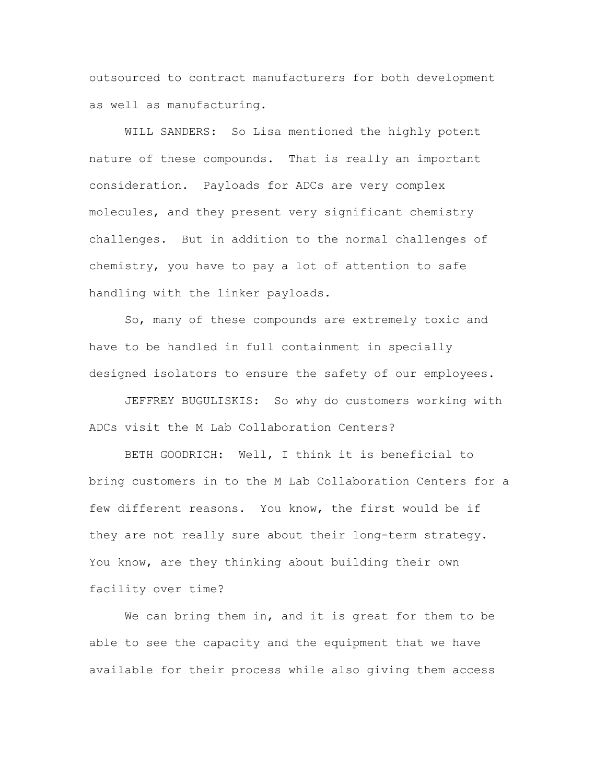outsourced to contract manufacturers for both development as well as manufacturing.

WILL SANDERS: So Lisa mentioned the highly potent nature of these compounds. That is really an important consideration. Payloads for ADCs are very complex molecules, and they present very significant chemistry challenges. But in addition to the normal challenges of chemistry, you have to pay a lot of attention to safe handling with the linker payloads.

So, many of these compounds are extremely toxic and have to be handled in full containment in specially designed isolators to ensure the safety of our employees.

JEFFREY BUGULISKIS: So why do customers working with ADCs visit the M Lab Collaboration Centers?

BETH GOODRICH: Well, I think it is beneficial to bring customers in to the M Lab Collaboration Centers for a few different reasons. You know, the first would be if they are not really sure about their long-term strategy. You know, are they thinking about building their own facility over time?

We can bring them in, and it is great for them to be able to see the capacity and the equipment that we have available for their process while also giving them access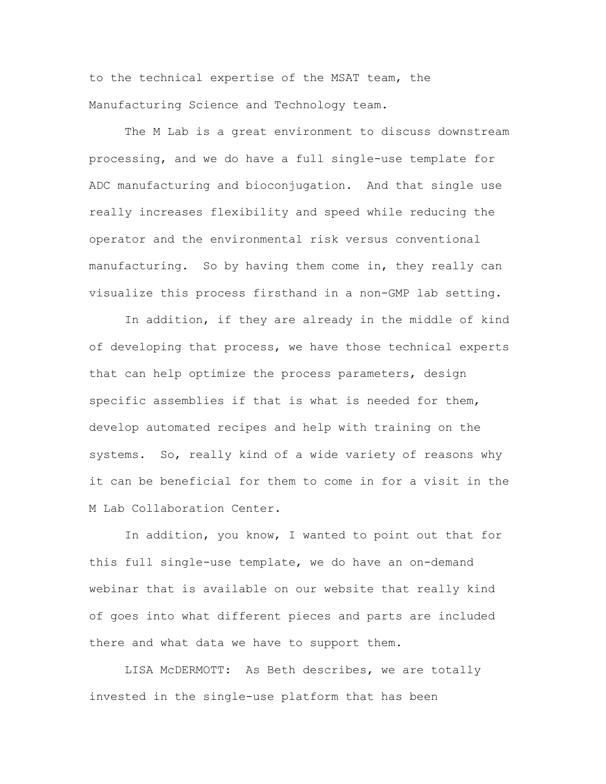to the technical expertise of the MSAT team, the Manufacturing Science and Technology team.

The M Lab is a great environment to discuss downstream processing, and we do have a full single-use template for ADC manufacturing and bioconjugation. And that single use really increases flexibility and speed while reducing the operator and the environmental risk versus conventional manufacturing. So by having them come in, they really can visualize this process firsthand in a non-GMP lab setting.

In addition, if they are already in the middle of kind of developing that process, we have those technical experts that can help optimize the process parameters, design specific assemblies if that is what is needed for them, develop automated recipes and help with training on the systems. So, really kind of a wide variety of reasons why it can be beneficial for them to come in for a visit in the M Lab Collaboration Center.

In addition, you know, I wanted to point out that for this full single-use template, we do have an on-demand webinar that is available on our website that really kind of goes into what different pieces and parts are included there and what data we have to support them.

LISA McDERMOTT: As Beth describes, we are totally invested in the single-use platform that has been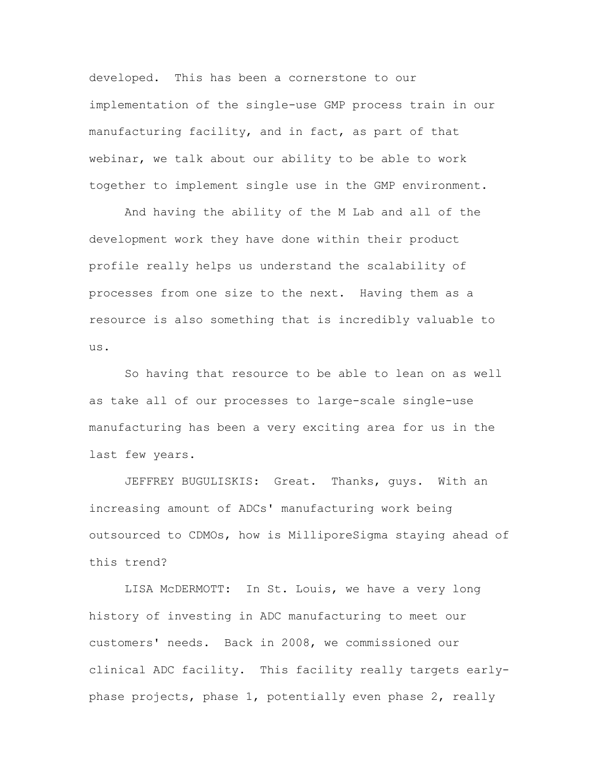developed. This has been a cornerstone to our implementation of the single-use GMP process train in our manufacturing facility, and in fact, as part of that webinar, we talk about our ability to be able to work together to implement single use in the GMP environment.

And having the ability of the M Lab and all of the development work they have done within their product profile really helps us understand the scalability of processes from one size to the next. Having them as a resource is also something that is incredibly valuable to us.

So having that resource to be able to lean on as well as take all of our processes to large-scale single-use manufacturing has been a very exciting area for us in the last few years.

JEFFREY BUGULISKIS: Great. Thanks, guys. With an increasing amount of ADCs' manufacturing work being outsourced to CDMOs, how is MilliporeSigma staying ahead of this trend?

LISA McDERMOTT: In St. Louis, we have a very long history of investing in ADC manufacturing to meet our customers' needs. Back in 2008, we commissioned our clinical ADC facility. This facility really targets earlyphase projects, phase 1, potentially even phase 2, really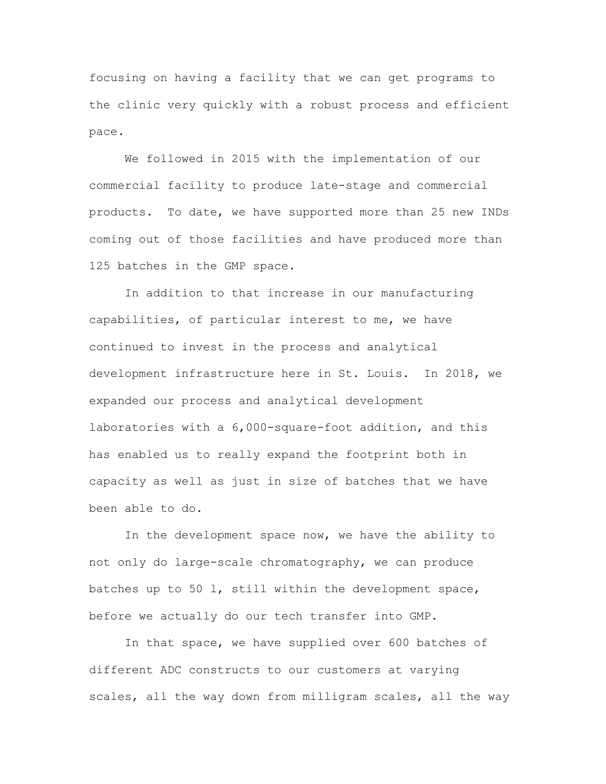focusing on having a facility that we can get programs to the clinic very quickly with a robust process and efficient pace.

We followed in 2015 with the implementation of our commercial facility to produce late-stage and commercial products. To date, we have supported more than 25 new INDs coming out of those facilities and have produced more than 125 batches in the GMP space.

In addition to that increase in our manufacturing capabilities, of particular interest to me, we have continued to invest in the process and analytical development infrastructure here in St. Louis. In 2018, we expanded our process and analytical development laboratories with a 6,000-square-foot addition, and this has enabled us to really expand the footprint both in capacity as well as just in size of batches that we have been able to do.

In the development space now, we have the ability to not only do large-scale chromatography, we can produce batches up to 50 l, still within the development space, before we actually do our tech transfer into GMP.

In that space, we have supplied over 600 batches of different ADC constructs to our customers at varying scales, all the way down from milligram scales, all the way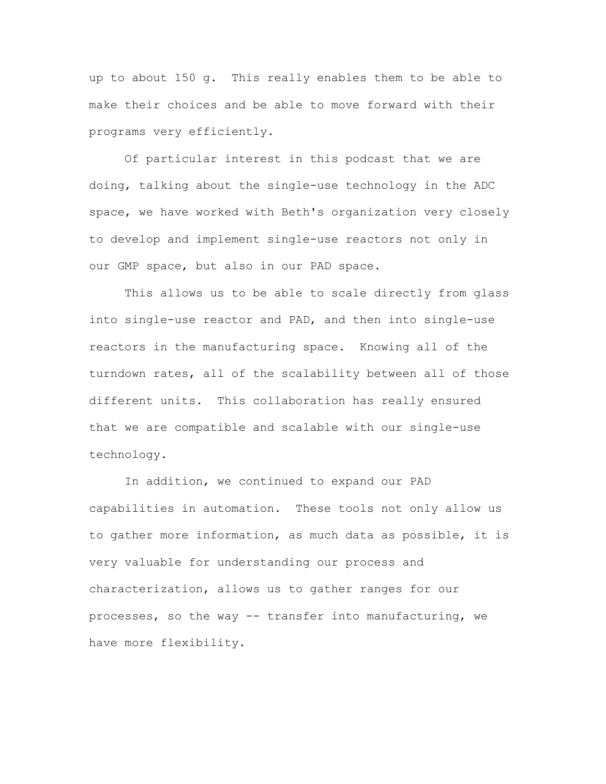up to about 150 g. This really enables them to be able to make their choices and be able to move forward with their programs very efficiently.

Of particular interest in this podcast that we are doing, talking about the single-use technology in the ADC space, we have worked with Beth's organization very closely to develop and implement single-use reactors not only in our GMP space, but also in our PAD space.

This allows us to be able to scale directly from glass into single-use reactor and PAD, and then into single-use reactors in the manufacturing space. Knowing all of the turndown rates, all of the scalability between all of those different units. This collaboration has really ensured that we are compatible and scalable with our single-use technology.

In addition, we continued to expand our PAD capabilities in automation. These tools not only allow us to gather more information, as much data as possible, it is very valuable for understanding our process and characterization, allows us to gather ranges for our processes, so the way -- transfer into manufacturing, we have more flexibility.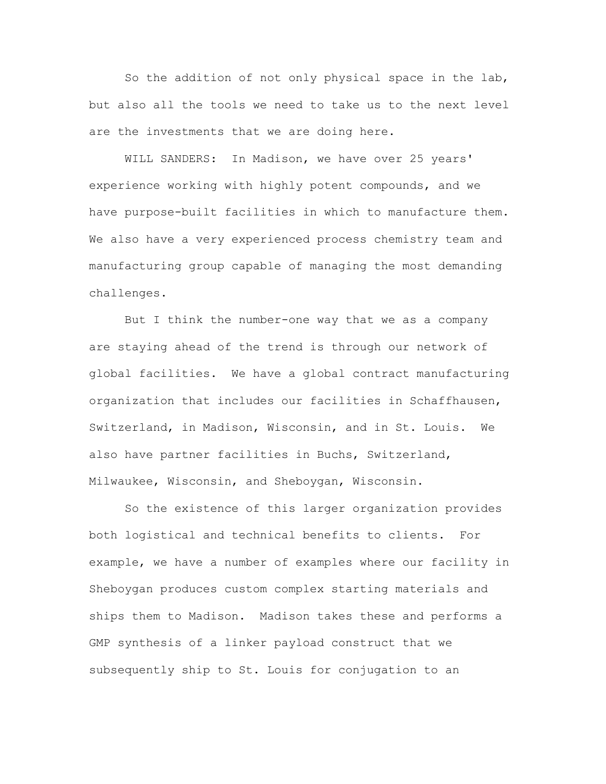So the addition of not only physical space in the lab, but also all the tools we need to take us to the next level are the investments that we are doing here.

WILL SANDERS: In Madison, we have over 25 years' experience working with highly potent compounds, and we have purpose-built facilities in which to manufacture them. We also have a very experienced process chemistry team and manufacturing group capable of managing the most demanding challenges.

But I think the number-one way that we as a company are staying ahead of the trend is through our network of global facilities. We have a global contract manufacturing organization that includes our facilities in Schaffhausen, Switzerland, in Madison, Wisconsin, and in St. Louis. We also have partner facilities in Buchs, Switzerland, Milwaukee, Wisconsin, and Sheboygan, Wisconsin.

So the existence of this larger organization provides both logistical and technical benefits to clients. For example, we have a number of examples where our facility in Sheboygan produces custom complex starting materials and ships them to Madison. Madison takes these and performs a GMP synthesis of a linker payload construct that we subsequently ship to St. Louis for conjugation to an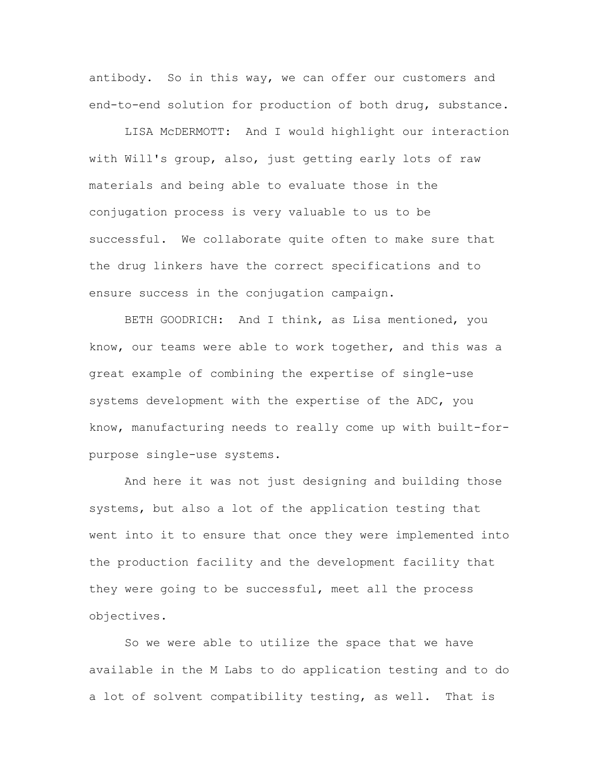antibody. So in this way, we can offer our customers and end-to-end solution for production of both drug, substance.

LISA McDERMOTT: And I would highlight our interaction with Will's group, also, just getting early lots of raw materials and being able to evaluate those in the conjugation process is very valuable to us to be successful. We collaborate quite often to make sure that the drug linkers have the correct specifications and to ensure success in the conjugation campaign.

BETH GOODRICH: And I think, as Lisa mentioned, you know, our teams were able to work together, and this was a great example of combining the expertise of single-use systems development with the expertise of the ADC, you know, manufacturing needs to really come up with built-forpurpose single-use systems.

And here it was not just designing and building those systems, but also a lot of the application testing that went into it to ensure that once they were implemented into the production facility and the development facility that they were going to be successful, meet all the process objectives.

So we were able to utilize the space that we have available in the M Labs to do application testing and to do a lot of solvent compatibility testing, as well. That is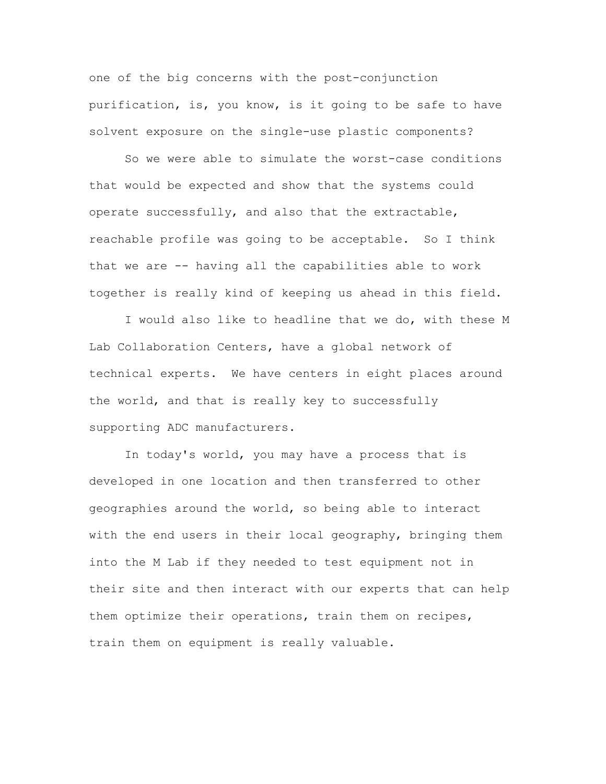one of the big concerns with the post-conjunction purification, is, you know, is it going to be safe to have solvent exposure on the single-use plastic components?

So we were able to simulate the worst-case conditions that would be expected and show that the systems could operate successfully, and also that the extractable, reachable profile was going to be acceptable. So I think that we are -- having all the capabilities able to work together is really kind of keeping us ahead in this field.

I would also like to headline that we do, with these M Lab Collaboration Centers, have a global network of technical experts. We have centers in eight places around the world, and that is really key to successfully supporting ADC manufacturers.

In today's world, you may have a process that is developed in one location and then transferred to other geographies around the world, so being able to interact with the end users in their local geography, bringing them into the M Lab if they needed to test equipment not in their site and then interact with our experts that can help them optimize their operations, train them on recipes, train them on equipment is really valuable.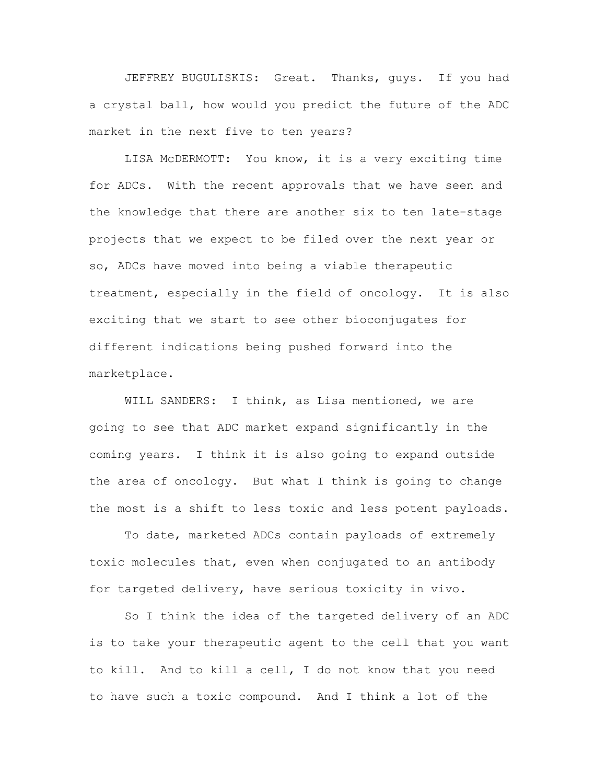JEFFREY BUGULISKIS: Great. Thanks, guys. If you had a crystal ball, how would you predict the future of the ADC market in the next five to ten years?

LISA McDERMOTT: You know, it is a very exciting time for ADCs. With the recent approvals that we have seen and the knowledge that there are another six to ten late-stage projects that we expect to be filed over the next year or so, ADCs have moved into being a viable therapeutic treatment, especially in the field of oncology. It is also exciting that we start to see other bioconjugates for different indications being pushed forward into the marketplace.

WILL SANDERS: I think, as Lisa mentioned, we are going to see that ADC market expand significantly in the coming years. I think it is also going to expand outside the area of oncology. But what I think is going to change the most is a shift to less toxic and less potent payloads.

To date, marketed ADCs contain payloads of extremely toxic molecules that, even when conjugated to an antibody for targeted delivery, have serious toxicity in vivo.

So I think the idea of the targeted delivery of an ADC is to take your therapeutic agent to the cell that you want to kill. And to kill a cell, I do not know that you need to have such a toxic compound. And I think a lot of the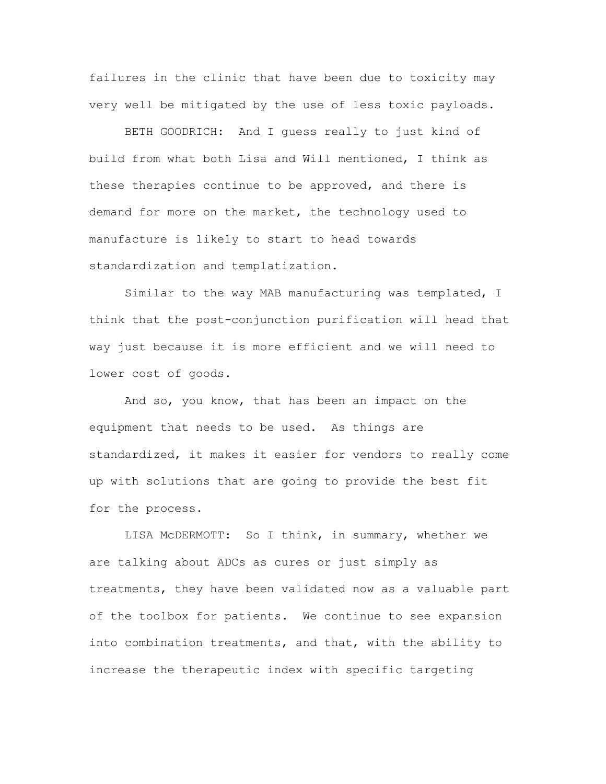failures in the clinic that have been due to toxicity may very well be mitigated by the use of less toxic payloads.

BETH GOODRICH: And I guess really to just kind of build from what both Lisa and Will mentioned, I think as these therapies continue to be approved, and there is demand for more on the market, the technology used to manufacture is likely to start to head towards standardization and templatization.

Similar to the way MAB manufacturing was templated, I think that the post-conjunction purification will head that way just because it is more efficient and we will need to lower cost of goods.

And so, you know, that has been an impact on the equipment that needs to be used. As things are standardized, it makes it easier for vendors to really come up with solutions that are going to provide the best fit for the process.

LISA McDERMOTT: So I think, in summary, whether we are talking about ADCs as cures or just simply as treatments, they have been validated now as a valuable part of the toolbox for patients. We continue to see expansion into combination treatments, and that, with the ability to increase the therapeutic index with specific targeting